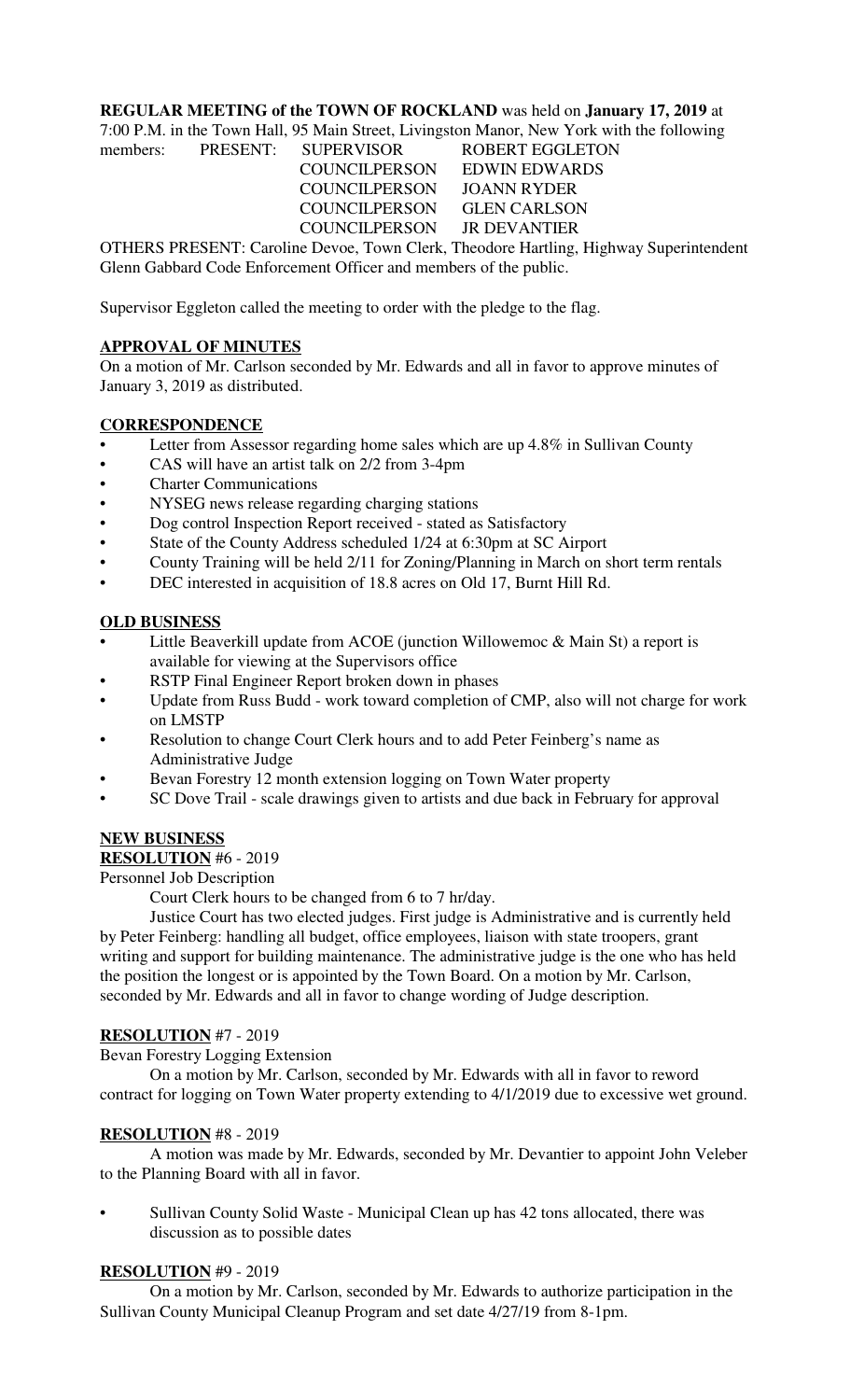#### **REGULAR MEETING of the TOWN OF ROCKLAND** was held on **January 17, 2019** at

7:00 P.M. in the Town Hall, 95 Main Street, Livingston Manor, New York with the following

members: PRESENT: SUPERVISOR ROBERT EGGLETON COUNCILPERSON EDWIN EDWARDS COUNCILPERSON JOANN RYDER COUNCILPERSON GLEN CARLSON COUNCILPERSON JR DEVANTIER OTHERS PRESENT: Caroline Devoe, Town Clerk, Theodore Hartling, Highway Superintendent

Glenn Gabbard Code Enforcement Officer and members of the public.

Supervisor Eggleton called the meeting to order with the pledge to the flag.

#### **APPROVAL OF MINUTES**

On a motion of Mr. Carlson seconded by Mr. Edwards and all in favor to approve minutes of January 3, 2019 as distributed.

### **CORRESPONDENCE**

- Letter from Assessor regarding home sales which are up 4.8% in Sullivan County
- CAS will have an artist talk on 2/2 from 3-4pm
- **Charter Communications**
- NYSEG news release regarding charging stations
- Dog control Inspection Report received stated as Satisfactory
- State of the County Address scheduled 1/24 at 6:30pm at SC Airport
- County Training will be held 2/11 for Zoning/Planning in March on short term rentals
- DEC interested in acquisition of 18.8 acres on Old 17, Burnt Hill Rd.

# **OLD BUSINESS**

- Little Beaverkill update from ACOE (junction Willowemoc & Main St) a report is available for viewing at the Supervisors office
- RSTP Final Engineer Report broken down in phases
- Update from Russ Budd work toward completion of CMP, also will not charge for work on LMSTP
- Resolution to change Court Clerk hours and to add Peter Feinberg's name as Administrative Judge
- Bevan Forestry 12 month extension logging on Town Water property
- SC Dove Trail scale drawings given to artists and due back in February for approval

# **NEW BUSINESS**

#### **RESOLUTION** #6 - 2019

Personnel Job Description

Court Clerk hours to be changed from 6 to 7 hr/day.

Justice Court has two elected judges. First judge is Administrative and is currently held by Peter Feinberg: handling all budget, office employees, liaison with state troopers, grant writing and support for building maintenance. The administrative judge is the one who has held the position the longest or is appointed by the Town Board. On a motion by Mr. Carlson, seconded by Mr. Edwards and all in favor to change wording of Judge description.

#### **RESOLUTION** #7 - 2019

Bevan Forestry Logging Extension

On a motion by Mr. Carlson, seconded by Mr. Edwards with all in favor to reword contract for logging on Town Water property extending to 4/1/2019 due to excessive wet ground.

#### **RESOLUTION** #8 - 2019

A motion was made by Mr. Edwards, seconded by Mr. Devantier to appoint John Veleber to the Planning Board with all in favor.

• Sullivan County Solid Waste - Municipal Clean up has 42 tons allocated, there was discussion as to possible dates

#### **RESOLUTION** #9 - 2019

On a motion by Mr. Carlson, seconded by Mr. Edwards to authorize participation in the Sullivan County Municipal Cleanup Program and set date 4/27/19 from 8-1pm.